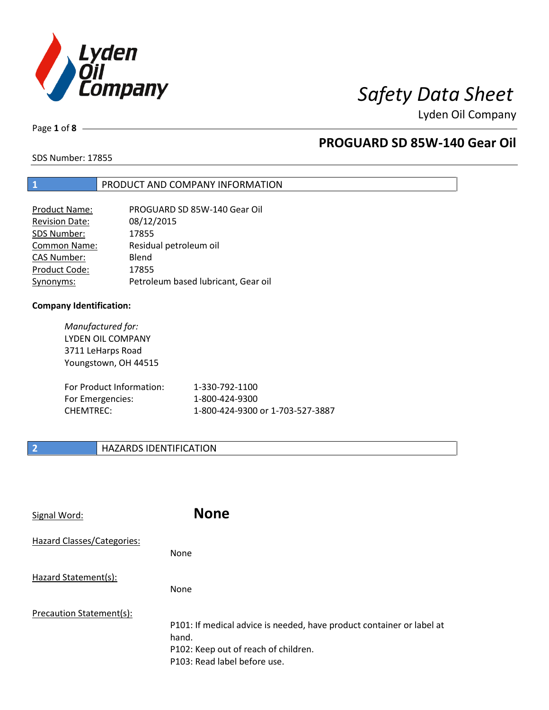

Page **1** of **8**

# **PROGUARD SD 85W-140 Gear Oil**

SDS Number: 17855

## **1** PRODUCT AND COMPANY INFORMATION

| <b>Product Name:</b>  | PROGUARD SD 85W-140 Gear Oil        |
|-----------------------|-------------------------------------|
| <b>Revision Date:</b> | 08/12/2015                          |
| SDS Number:           | 17855                               |
| <b>Common Name:</b>   | Residual petroleum oil              |
| <b>CAS Number:</b>    | Blend                               |
| Product Code:         | 17855                               |
| Synonyms:             | Petroleum based lubricant, Gear oil |

## **Company Identification:**

*Manufactured for:* LYDEN OIL COMPANY 3711 LeHarps Road Youngstown, OH 44515

| For Product Information: | 1-330-792-1100                   |
|--------------------------|----------------------------------|
| For Emergencies:         | 1-800-424-9300                   |
| CHEMTREC:                | 1-800-424-9300 or 1-703-527-3887 |

## **2 HAZARDS IDENTIFICATION**

| Signal Word:               | <b>None</b>                                                                                                                                            |
|----------------------------|--------------------------------------------------------------------------------------------------------------------------------------------------------|
| Hazard Classes/Categories: | None                                                                                                                                                   |
| Hazard Statement(s):       | None                                                                                                                                                   |
| Precaution Statement(s):   | P101: If medical advice is needed, have product container or label at<br>hand.<br>P102: Keep out of reach of children.<br>P103: Read label before use. |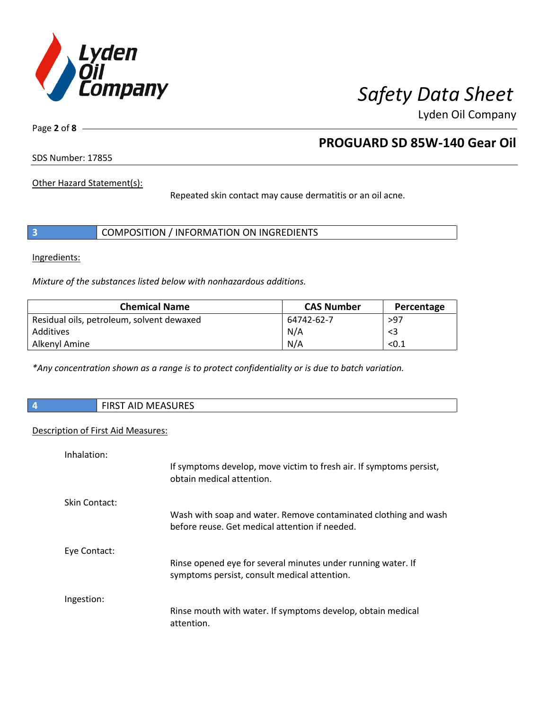

Page **2** of **8**

# **PROGUARD SD 85W-140 Gear Oil**

SDS Number: 17855

Other Hazard Statement(s):

Repeated skin contact may cause dermatitis or an oil acne.

|  | COMPOSITION / INFORMATION ON INGREDIENTS |
|--|------------------------------------------|
|--|------------------------------------------|

Ingredients:

*Mixture of the substances listed below with nonhazardous additions.*

| <b>Chemical Name</b>                      | <b>CAS Number</b> | Percentage |
|-------------------------------------------|-------------------|------------|
| Residual oils, petroleum, solvent dewaxed | 64742-62-7        | >97        |
| Additives                                 | N/A               | <3         |
| Alkenyl Amine                             | N/A               | < 0.1      |

*\*Any concentration shown as a range is to protect confidentiality or is due to batch variation.*

| $\sqrt{4}$ | <b>FIRST AID MEASURES</b> |
|------------|---------------------------|
|            |                           |

## Description of First Aid Measures:

| Inhalation:   |                                                                                                                   |
|---------------|-------------------------------------------------------------------------------------------------------------------|
|               | If symptoms develop, move victim to fresh air. If symptoms persist,<br>obtain medical attention.                  |
| Skin Contact: |                                                                                                                   |
|               | Wash with soap and water. Remove contaminated clothing and wash<br>before reuse. Get medical attention if needed. |
| Eye Contact:  |                                                                                                                   |
|               | Rinse opened eye for several minutes under running water. If<br>symptoms persist, consult medical attention.      |
| Ingestion:    |                                                                                                                   |
|               | Rinse mouth with water. If symptoms develop, obtain medical<br>attention.                                         |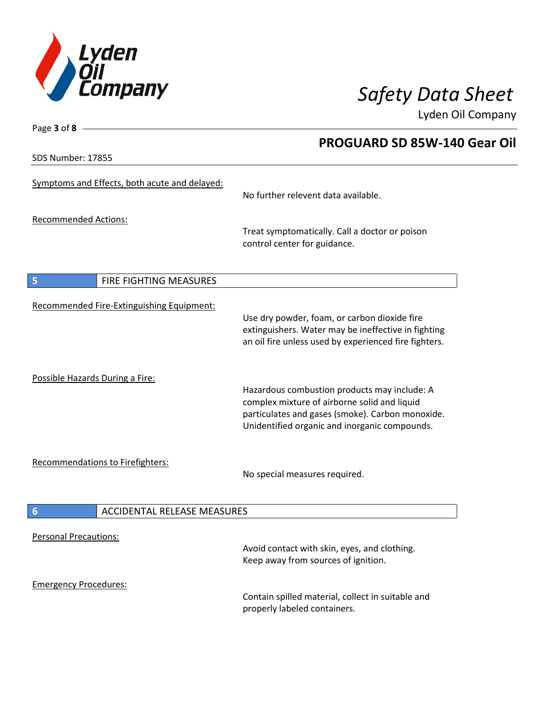

Lyden Oil Company

SDS Number: 17855

Page **3** of **8**

# Symptoms and Effects, both acute and delayed: No further relevent data available. Recommended Actions: Treat symptomatically. Call a doctor or poison control center for guidance. **5** FIRE FIGHTING MEASURES Recommended Fire-Extinguishing Equipment: Use dry powder, foam, or carbon dioxide fire extinguishers. Water may be ineffective in fighting an oil fire unless used by experienced fire fighters. Possible Hazards During a Fire: Hazardous combustion products may include: A complex mixture of airborne solid and liquid particulates and gases (smoke). Carbon monoxide. Unidentified organic and inorganic compounds. Recommendations to Firefighters: No special measures required. **6** ACCIDENTAL RELEASE MEASURES Personal Precautions: Avoid contact with skin, eyes, and clothing. Keep away from sources of ignition. Emergency Procedures: Contain spilled material, collect in suitable and properly labeled containers.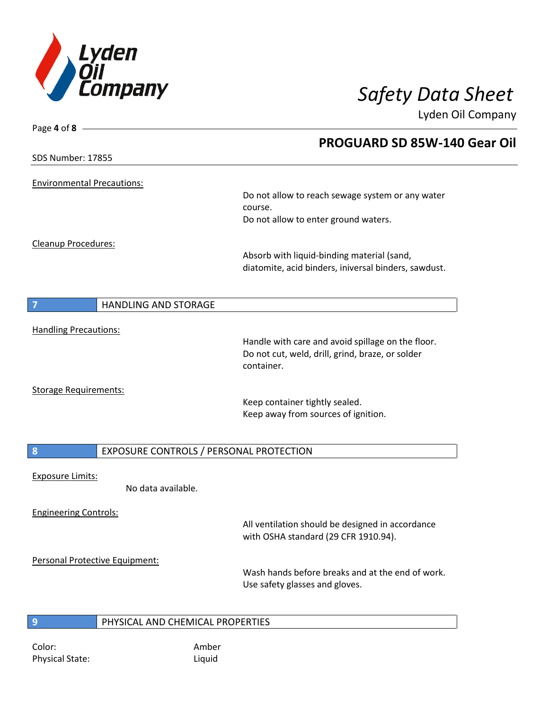

| Page 4 of 8 -                                                     |                                                      |
|-------------------------------------------------------------------|------------------------------------------------------|
|                                                                   | PROGUARD SD 85W-140 Gear Oil                         |
| <b>SDS Number: 17855</b>                                          |                                                      |
| <b>Environmental Precautions:</b>                                 |                                                      |
|                                                                   | Do not allow to reach sewage system or any water     |
|                                                                   | course.                                              |
|                                                                   | Do not allow to enter ground waters.                 |
| Cleanup Procedures:                                               |                                                      |
|                                                                   | Absorb with liquid-binding material (sand,           |
|                                                                   | diatomite, acid binders, iniversal binders, sawdust. |
|                                                                   |                                                      |
| $\begin{array}{c} \n7 \end{array}$<br><b>HANDLING AND STORAGE</b> |                                                      |
| <b>Handling Precautions:</b>                                      |                                                      |
|                                                                   | Handle with care and avoid spillage on the floor.    |
|                                                                   | Do not cut, weld, drill, grind, braze, or solder     |
|                                                                   | container.                                           |
| <b>Storage Requirements:</b>                                      |                                                      |
|                                                                   | Keep container tightly sealed.                       |
|                                                                   | Keep away from sources of ignition.                  |
|                                                                   |                                                      |
| $\boldsymbol{8}$<br>EXPOSURE CONTROLS / PERSONAL PROTECTION       |                                                      |
| <b>Exposure Limits:</b>                                           |                                                      |
| No data available.                                                |                                                      |
| <b>Engineering Controls:</b>                                      |                                                      |
|                                                                   | All ventilation should be designed in accordance     |
|                                                                   | with OSHA standard (29 CFR 1910.94).                 |
| Personal Protective Equipment:                                    |                                                      |
|                                                                   | Wash hands before breaks and at the end of work.     |
|                                                                   | Use safety glasses and gloves.                       |
|                                                                   |                                                      |
| $\overline{9}$<br>PHYSICAL AND CHEMICAL PROPERTIES                |                                                      |
|                                                                   |                                                      |

Color: Amber Physical State: Liquid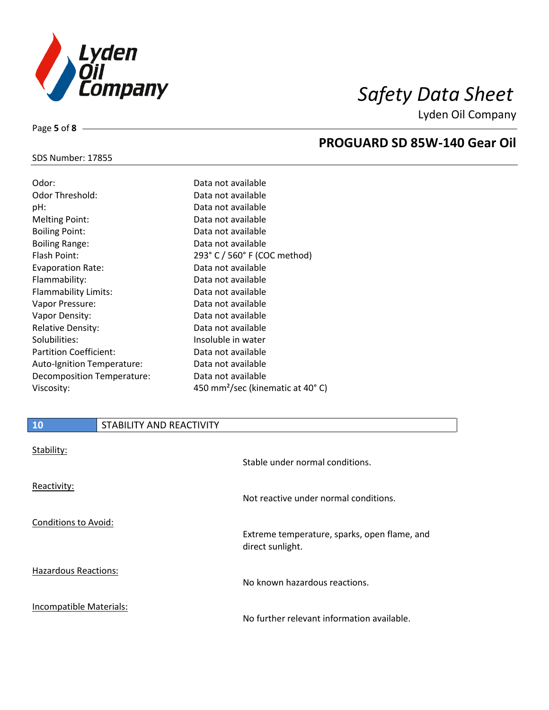

Lyden Oil Company

## SDS Number: 17855

Page **5** of **8**

| Odor:                         | Data not available                           |
|-------------------------------|----------------------------------------------|
| Odor Threshold:               | Data not available                           |
| pH:                           | Data not available                           |
| <b>Melting Point:</b>         | Data not available                           |
| <b>Boiling Point:</b>         | Data not available                           |
| <b>Boiling Range:</b>         | Data not available                           |
| Flash Point:                  | 293° C / 560° F (COC method)                 |
| <b>Evaporation Rate:</b>      | Data not available                           |
| Flammability:                 | Data not available                           |
| Flammability Limits:          | Data not available                           |
| Vapor Pressure:               | Data not available                           |
| Vapor Density:                | Data not available                           |
| <b>Relative Density:</b>      | Data not available                           |
| Solubilities:                 | Insoluble in water                           |
| <b>Partition Coefficient:</b> | Data not available                           |
| Auto-Ignition Temperature:    | Data not available                           |
| Decomposition Temperature:    | Data not available                           |
| Viscosity:                    | 450 mm <sup>2</sup> /sec (kinematic at 40°C) |

| <b>10</b>               | STABILITY AND REACTIVITY |                                                                  |
|-------------------------|--------------------------|------------------------------------------------------------------|
| Stability:              |                          | Stable under normal conditions.                                  |
| Reactivity:             |                          | Not reactive under normal conditions.                            |
| Conditions to Avoid:    |                          | Extreme temperature, sparks, open flame, and<br>direct sunlight. |
| Hazardous Reactions:    |                          | No known hazardous reactions.                                    |
| Incompatible Materials: |                          | No further relevant information available.                       |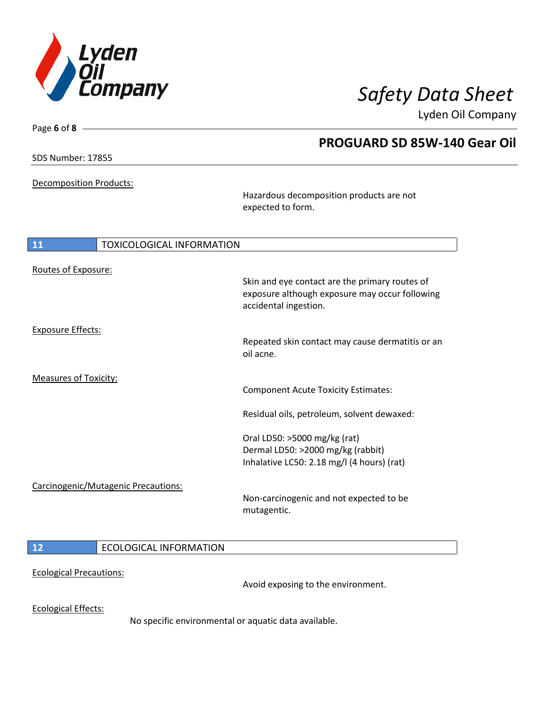

Lyden Oil Company

SDS Number: 17855

Page **6** of **8**

Decomposition Products:

Hazardous decomposition products are not expected to form.

| 11                                  | <b>TOXICOLOGICAL INFORMATION</b>                                                                                          |  |
|-------------------------------------|---------------------------------------------------------------------------------------------------------------------------|--|
| Routes of Exposure:                 | Skin and eye contact are the primary routes of<br>exposure although exposure may occur following<br>accidental ingestion. |  |
| <b>Exposure Effects:</b>            | Repeated skin contact may cause dermatitis or an<br>oil acne.                                                             |  |
| <b>Measures of Toxicity:</b>        | <b>Component Acute Toxicity Estimates:</b>                                                                                |  |
|                                     | Residual oils, petroleum, solvent dewaxed:                                                                                |  |
| Carcinogenic/Mutagenic Precautions: | Oral LD50: >5000 mg/kg (rat)<br>Dermal LD50: >2000 mg/kg (rabbit)<br>Inhalative LC50: 2.18 mg/l (4 hours) (rat)           |  |
|                                     | Non-carcinogenic and not expected to be<br>mutagentic.                                                                    |  |
| <b>ECOLOGICAL INFORMATION</b><br>12 |                                                                                                                           |  |

Ecological Precautions:

Avoid exposing to the environment.

Ecological Effects:

No specific environmental or aquatic data available.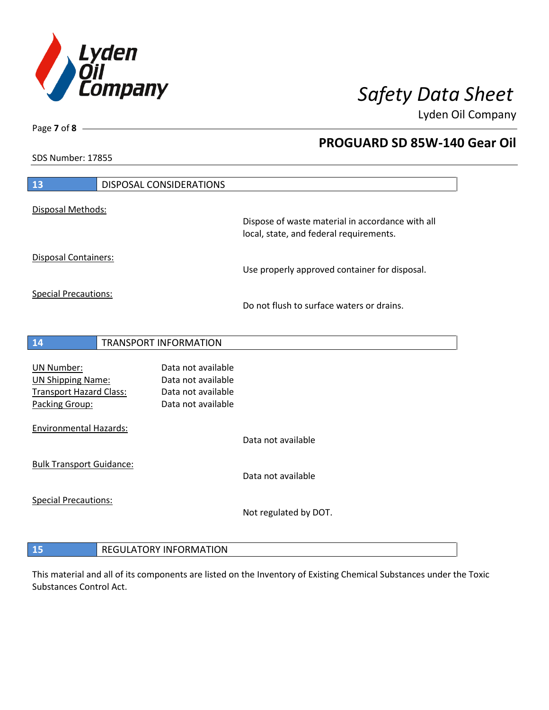

Lyden Oil Company

SDS Number: 17855

Page **7** of **8**

| 13                                                                                                |                              | DISPOSAL CONSIDERATIONS                                                              |                                                  |
|---------------------------------------------------------------------------------------------------|------------------------------|--------------------------------------------------------------------------------------|--------------------------------------------------|
| Disposal Methods:                                                                                 |                              |                                                                                      | Dispose of waste material in accordance with all |
|                                                                                                   |                              |                                                                                      | local, state, and federal requirements.          |
| <b>Disposal Containers:</b>                                                                       |                              |                                                                                      | Use properly approved container for disposal.    |
| <b>Special Precautions:</b>                                                                       |                              |                                                                                      | Do not flush to surface waters or drains.        |
| 14                                                                                                | <b>TRANSPORT INFORMATION</b> |                                                                                      |                                                  |
| <b>UN Number:</b><br><b>UN Shipping Name:</b><br><b>Transport Hazard Class:</b><br>Packing Group: |                              | Data not available<br>Data not available<br>Data not available<br>Data not available |                                                  |
| <b>Environmental Hazards:</b>                                                                     |                              |                                                                                      | Data not available                               |
| <b>Bulk Transport Guidance:</b>                                                                   |                              |                                                                                      | Data not available                               |
| <b>Special Precautions:</b>                                                                       |                              |                                                                                      | Not regulated by DOT.                            |
|                                                                                                   |                              |                                                                                      |                                                  |

# **REGULATORY INFORMATION**

This material and all of its components are listed on the Inventory of Existing Chemical Substances under the Toxic Substances Control Act.